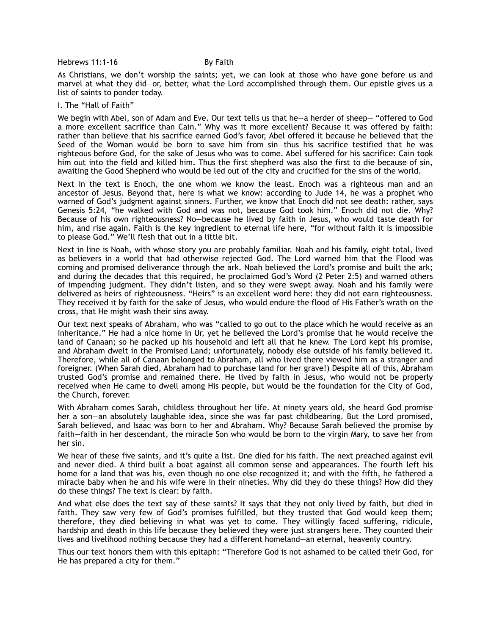Hebrews 11:1-16 By Faith

As Christians, we don't worship the saints; yet, we can look at those who have gone before us and marvel at what they did—or, better, what the Lord accomplished through them. Our epistle gives us a list of saints to ponder today.

## I. The "Hall of Faith"

We begin with Abel, son of Adam and Eve. Our text tells us that he—a herder of sheep— "offered to God a more excellent sacrifice than Cain." Why was it more excellent? Because it was offered by faith: rather than believe that his sacrifice earned God's favor, Abel offered it because he believed that the Seed of the Woman would be born to save him from sin—thus his sacrifice testified that he was righteous before God, for the sake of Jesus who was to come. Abel suffered for his sacrifice: Cain took him out into the field and killed him. Thus the first shepherd was also the first to die because of sin, awaiting the Good Shepherd who would be led out of the city and crucified for the sins of the world.

Next in the text is Enoch, the one whom we know the least. Enoch was a righteous man and an ancestor of Jesus. Beyond that, here is what we know: according to Jude 14, he was a prophet who warned of God's judgment against sinners. Further, we know that Enoch did not see death: rather, says Genesis 5:24, "he walked with God and was not, because God took him." Enoch did not die. Why? Because of his own righteousness? No—because he lived by faith in Jesus, who would taste death for him, and rise again. Faith is the key ingredient to eternal life here, "for without faith it is impossible to please God." We'll flesh that out in a little bit.

Next in line is Noah, with whose story you are probably familiar. Noah and his family, eight total, lived as believers in a world that had otherwise rejected God. The Lord warned him that the Flood was coming and promised deliverance through the ark. Noah believed the Lord's promise and built the ark; and during the decades that this required, he proclaimed God's Word (2 Peter 2:5) and warned others of impending judgment. They didn't listen, and so they were swept away. Noah and his family were delivered as heirs of righteousness. "Heirs" is an excellent word here: they did not earn righteousness. They received it by faith for the sake of Jesus, who would endure the flood of His Father's wrath on the cross, that He might wash their sins away.

Our text next speaks of Abraham, who was "called to go out to the place which he would receive as an inheritance." He had a nice home in Ur, yet he believed the Lord's promise that he would receive the land of Canaan; so he packed up his household and left all that he knew. The Lord kept his promise, and Abraham dwelt in the Promised Land; unfortunately, nobody else outside of his family believed it. Therefore, while all of Canaan belonged to Abraham, all who lived there viewed him as a stranger and foreigner. (When Sarah died, Abraham had to purchase land for her grave!) Despite all of this, Abraham trusted God's promise and remained there. He lived by faith in Jesus, who would not be properly received when He came to dwell among His people, but would be the foundation for the City of God, the Church, forever.

With Abraham comes Sarah, childless throughout her life. At ninety years old, she heard God promise her a son—an absolutely laughable idea, since she was far past childbearing. But the Lord promised, Sarah believed, and Isaac was born to her and Abraham. Why? Because Sarah believed the promise by faith—faith in her descendant, the miracle Son who would be born to the virgin Mary, to save her from her sin.

We hear of these five saints, and it's quite a list. One died for his faith. The next preached against evil and never died. A third built a boat against all common sense and appearances. The fourth left his home for a land that was his, even though no one else recognized it; and with the fifth, he fathered a miracle baby when he and his wife were in their nineties. Why did they do these things? How did they do these things? The text is clear: by faith.

And what else does the text say of these saints? It says that they not only lived by faith, but died in faith. They saw very few of God's promises fulfilled, but they trusted that God would keep them; therefore, they died believing in what was yet to come. They willingly faced suffering, ridicule, hardship and death in this life because they believed they were just strangers here. They counted their lives and livelihood nothing because they had a different homeland—an eternal, heavenly country.

Thus our text honors them with this epitaph: "Therefore God is not ashamed to be called their God, for He has prepared a city for them."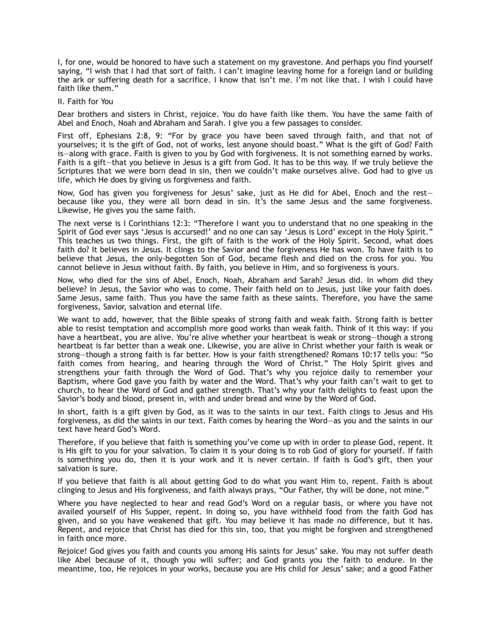I, for one, would be honored to have such a statement on my gravestone. And perhaps you find yourself saying, "I wish that I had that sort of faith. I can't imagine leaving home for a foreign land or building the ark or suffering death for a sacrifice. I know that isn't me. I'm not like that. I wish I could have faith like them."

II. Faith for You

Dear brothers and sisters in Christ, rejoice. You do have faith like them. You have the same faith of Abel and Enoch, Noah and Abraham and Sarah. I give you a few passages to consider.

First off, Ephesians 2:8, 9: "For by grace you have been saved through faith, and that not of yourselves; it is the gift of God, not of works, lest anyone should boast." What is the gift of God? Faith is—along with grace. Faith is given to you by God with forgiveness. It is not something earned by works. Faith is a gift—that you believe in Jesus is a gift from God. It has to be this way. If we truly believe the Scriptures that we were born dead in sin, then we couldn't make ourselves alive. God had to give us life, which He does by giving us forgiveness and faith.

Now, God has given you forgiveness for Jesus' sake, just as He did for Abel, Enoch and the rest because like you, they were all born dead in sin. It's the same Jesus and the same forgiveness. Likewise, He gives you the same faith.

The next verse is I Corinthians 12:3: "Therefore I want you to understand that no one speaking in the Spirit of God ever says 'Jesus is accursed!' and no one can say 'Jesus is Lord' except in the Holy Spirit." This teaches us two things. First, the gift of faith is the work of the Holy Spirit. Second, what does faith do? It believes in Jesus. It clings to the Savior and the forgiveness He has won. To have faith is to believe that Jesus, the only-begotten Son of God, became flesh and died on the cross for you. You cannot believe in Jesus without faith. By faith, you believe in Him, and so forgiveness is yours.

Now, who died for the sins of Abel, Enoch, Noah, Abraham and Sarah? Jesus did. In whom did they believe? In Jesus, the Savior who was to come. Their faith held on to Jesus, just like your faith does. Same Jesus, same faith. Thus you have the same faith as these saints. Therefore, you have the same forgiveness, Savior, salvation and eternal life.

We want to add, however, that the Bible speaks of strong faith and weak faith. Strong faith is better able to resist temptation and accomplish more good works than weak faith. Think of it this way: if you have a heartbeat, you are alive. You're alive whether your heartbeat is weak or strong-though a strong heartbeat is far better than a weak one. Likewise, you are alive in Christ whether your faith is weak or strong—though a strong faith is far better. How is your faith strengthened? Romans 10:17 tells you: "So faith comes from hearing, and hearing through the Word of Christ." The Holy Spirit gives and strengthens your faith through the Word of God. That's why you rejoice daily to remember your Baptism, where God gave you faith by water and the Word. That's why your faith can't wait to get to church, to hear the Word of God and gather strength. That's why your faith delights to feast upon the Savior's body and blood, present in, with and under bread and wine by the Word of God.

In short, faith is a gift given by God, as it was to the saints in our text. Faith clings to Jesus and His forgiveness, as did the saints in our text. Faith comes by hearing the Word—as you and the saints in our text have heard God's Word.

Therefore, if you believe that faith is something you've come up with in order to please God, repent. It is His gift to you for your salvation. To claim it is your doing is to rob God of glory for yourself. If faith is something you do, then it is your work and it is never certain. If faith is God's gift, then your salvation is sure.

If you believe that faith is all about getting God to do what you want Him to, repent. Faith is about clinging to Jesus and His forgiveness, and faith always prays, "Our Father, thy will be done, not mine."

Where you have neglected to hear and read God's Word on a regular basis, or where you have not availed yourself of His Supper, repent. In doing so, you have withheld food from the faith God has given, and so you have weakened that gift. You may believe it has made no difference, but it has. Repent, and rejoice that Christ has died for this sin, too, that you might be forgiven and strengthened in faith once more.

Rejoice! God gives you faith and counts you among His saints for Jesus' sake. You may not suffer death like Abel because of it, though you will suffer; and God grants you the faith to endure. In the meantime, too, He rejoices in your works, because you are His child for Jesus' sake; and a good Father